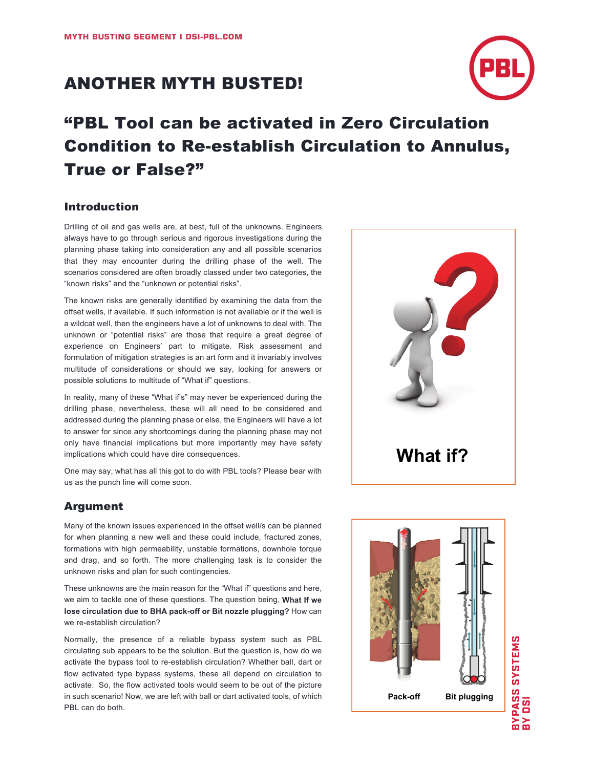# ANOTHER MYTH BUSTED!



# "PBL Tool can be activated in Zero Circulation Condition to Re-establish Circulation to Annulus, True or False?"

## Introduction

Drilling of oil and gas wells are, at best, full of the unknowns. Engineers always have to go through serious and rigorous investigations during the planning phase taking into consideration any and all possible scenarios that they may encounter during the drilling phase of the well. The scenarios considered are often broadly classed under two categories, the "known risks" and the "unknown or potential risks".

The known risks are generally identified by examining the data from the offset wells, if available. If such information is not available or if the well is a wildcat well, then the engineers have a lot of unknowns to deal with. The unknown or "potential risks" are those that require a great degree of experience on Engineers' part to mitigate. Risk assessment and formulation of mitigation strategies is an art form and it invariably involves multitude of considerations or should we say, looking for answers or possible solutions to multitude of "What if" questions.

In reality, many of these "What if's" may never be experienced during the drilling phase, nevertheless, these will all need to be considered and addressed during the planning phase or else, the Engineers will have a lot to answer for since any shortcomings during the planning phase may not only have financial implications but more importantly may have safety implications which could have dire consequences.

One may say, what has all this got to do with PBL tools? Please bear with us as the punch line will come soon.

# Argument

Many of the known issues experienced in the offset well/s can be planned for when planning a new well and these could include, fractured zones, formations with high permeability, unstable formations, downhole torque and drag, and so forth. The more challenging task is to consider the unknown risks and plan for such contingencies.

These unknowns are the main reason for the "What if" questions and here, we aim to tackle one of these questions. The question being, **What If we lose circulation due to BHA pack-off or Bit nozzle plugging?** How can we re-establish circulation?

Normally, the presence of a reliable bypass system such as PBL circulating sub appears to be the solution. But the question is, how do we activate the bypass tool to re-establish circulation? Whether ball, dart or flow activated type bypass systems, these all depend on circulation to activate. So, the flow activated tools would seem to be out of the picture in such scenario! Now, we are left with ball or dart activated tools, of which PBL can do both.



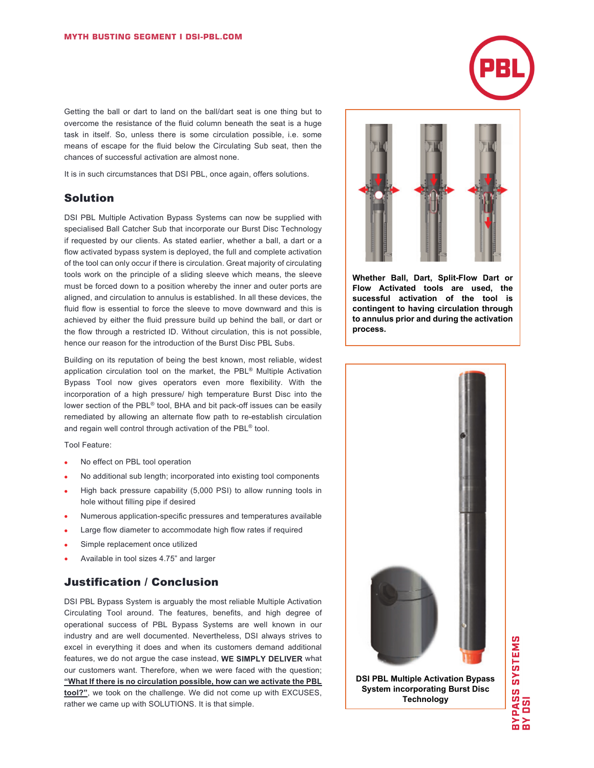Getting the ball or dart to land on the ball/dart seat is one thing but to overcome the resistance of the fluid column beneath the seat is a huge task in itself. So, unless there is some circulation possible, i.e. some means of escape for the fluid below the Circulating Sub seat, then the chances of successful activation are almost none.

It is in such circumstances that DSI PBL, once again, offers solutions.

### Solution

DSI PBL Multiple Activation Bypass Systems can now be supplied with specialised Ball Catcher Sub that incorporate our Burst Disc Technology if requested by our clients. As stated earlier, whether a ball, a dart or a flow activated bypass system is deployed, the full and complete activation of the tool can only occur if there is circulation. Great majority of circulating tools work on the principle of a sliding sleeve which means, the sleeve must be forced down to a position whereby the inner and outer ports are aligned, and circulation to annulus is established. In all these devices, the fluid flow is essential to force the sleeve to move downward and this is achieved by either the fluid pressure build up behind the ball, or dart or the flow through a restricted ID. Without circulation, this is not possible, hence our reason for the introduction of the Burst Disc PBL Subs.

Building on its reputation of being the best known, most reliable, widest application circulation tool on the market, the PBL® Multiple Activation Bypass Tool now gives operators even more flexibility. With the incorporation of a high pressure/ high temperature Burst Disc into the lower section of the PBL® tool, BHA and bit pack-off issues can be easily remediated by allowing an alternate flow path to re-establish circulation and regain well control through activation of the PBL® tool.

#### Tool Feature:

- No effect on PBL tool operation
- No additional sub length; incorporated into existing tool components
- High back pressure capability (5,000 PSI) to allow running tools in hole without filling pipe if desired
- Numerous application-specific pressures and temperatures available
- Large flow diameter to accommodate high flow rates if required
- Simple replacement once utilized
- Available in tool sizes 4.75" and larger

## Justification / Conclusion

DSI PBL Bypass System is arguably the most reliable Multiple Activation Circulating Tool around. The features, benefits, and high degree of operational success of PBL Bypass Systems are well known in our industry and are well documented. Nevertheless, DSI always strives to excel in everything it does and when its customers demand additional features, we do not argue the case instead, **WE SIMPLY DELIVER** what our customers want. Therefore, when we were faced with the question; **"What If there is no circulation possible, how can we activate the PBL tool?"**, we took on the challenge. We did not come up with EXCUSES, rather we came up with SOLUTIONS. It is that simple.



**Whether Ball, Dart, Split-Flow Dart or Flow Activated tools are used, the sucessful activation of the tool is contingent to having circulation through to annulus prior and during the activation process.**



**DSI PBL Multiple Activation Bypass System incorporating Burst Disc Technology**